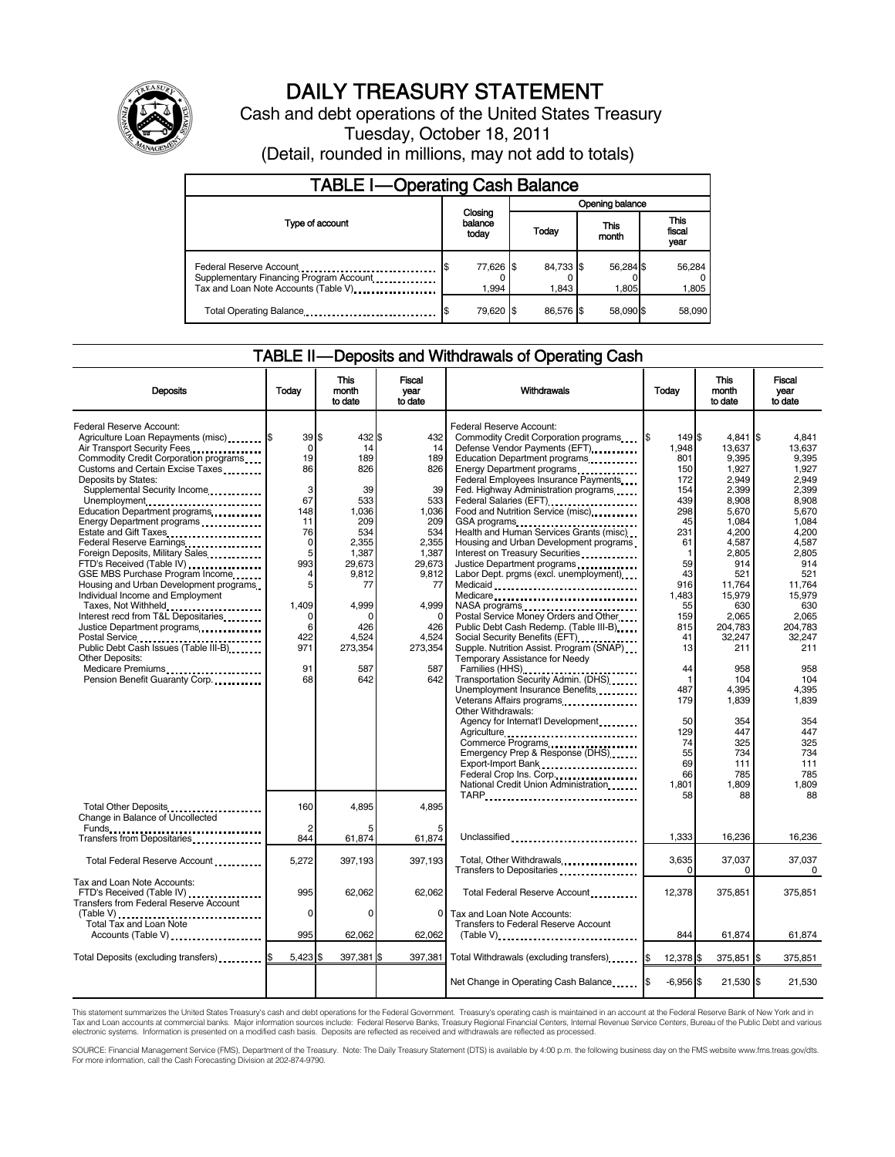

## DAILY TREASURY STATEMENT

Cash and debt operations of the United States Treasury Tuesday, October 18, 2011

(Detail, rounded in millions, may not add to totals)

| <b>TABLE I-Operating Cash Balance</b>                                                                      |                             |  |                    |                    |                               |  |  |
|------------------------------------------------------------------------------------------------------------|-----------------------------|--|--------------------|--------------------|-------------------------------|--|--|
|                                                                                                            | Closing<br>balance<br>today |  | Opening balance    |                    |                               |  |  |
| Type of account                                                                                            |                             |  | Today              | This<br>month      | <b>This</b><br>fiscal<br>year |  |  |
| Federal Reserve Account<br>Supplementary Financing Program Account<br>Tax and Loan Note Accounts (Table V) | 77,626 \$<br>1.994          |  | 84.733 \$<br>1.843 | 56,284 \$<br>1.805 | 56,284<br>1,805               |  |  |
| Total Operating Balance                                                                                    | 79,620 \$                   |  | 86.576 \$          | 58.090 \$          | 58,090                        |  |  |

### TABLE II — Deposits and Withdrawals of Operating Cash

| <b>Deposits</b>                                                                                                                                                                                                                                                                                                                                                                                                                                                                  | Today                                                                                        | <b>This</b><br>month<br>to date                                                                     | <b>Fiscal</b><br>vear<br>to date                                                                 | Withdrawals                                                                                                                                                                                                                                                                                                                                                                                                                                                                                                                                                     | Today                                                                                          | <b>This</b><br>month<br>to date                                                                                              | <b>Fiscal</b><br>vear<br>to date                                                                                        |
|----------------------------------------------------------------------------------------------------------------------------------------------------------------------------------------------------------------------------------------------------------------------------------------------------------------------------------------------------------------------------------------------------------------------------------------------------------------------------------|----------------------------------------------------------------------------------------------|-----------------------------------------------------------------------------------------------------|--------------------------------------------------------------------------------------------------|-----------------------------------------------------------------------------------------------------------------------------------------------------------------------------------------------------------------------------------------------------------------------------------------------------------------------------------------------------------------------------------------------------------------------------------------------------------------------------------------------------------------------------------------------------------------|------------------------------------------------------------------------------------------------|------------------------------------------------------------------------------------------------------------------------------|-------------------------------------------------------------------------------------------------------------------------|
| Federal Reserve Account:<br>Agriculture Loan Repayments (misc) \$<br>Air Transport Security Fees<br>Commodity Credit Corporation programs<br>Customs and Certain Excise Taxes<br>Deposits by States:<br>Supplemental Security Income<br>Unemployment<br>Education Department programs<br>Energy Department programs<br>Estate and Gift Taxes<br><br>Federal Reserve Earnings<br>Foreign Deposits, Military Sales<br>FTD's Received (Table IV)<br>GSE MBS Purchase Program Income | 39S<br>$\mathbf 0$<br>19<br>86<br>3<br>67<br>148<br>11<br>76<br>$\mathbf 0$<br>5<br>993<br>4 | 432 \$<br>14<br>189<br>826<br>39<br>533<br>1,036<br>209<br>534<br>2,355<br>1,387<br>29.673<br>9,812 | 432<br>14<br>189<br>826<br>39<br>533<br>1,036<br>209<br>534<br>2,355<br>1,387<br>29,673<br>9,812 | Federal Reserve Account:<br>Commodity Credit Corporation programs<br>Defense Vendor Payments (EFT)<br>Education Department programs<br>Energy Department programs<br><br>Federal Employees Insurance Payments<br>Fed. Highway Administration programs<br>Federal Salaries (EFT)<br>Federal Salaries (EFT)<br>Food and Nutrition Service (misc)<br>GSA programs<br>Health and Human Services Grants (misc)<br>Housing and Urban Development programs<br>Interest on Treasury Securities<br>Justice Department programs<br>Labor Dept. prgms (excl. unemployment) | 149 \$<br>1,948<br>801<br>150<br>172<br>154<br>439<br>298<br>45<br>231<br>61<br>-1<br>59<br>43 | $4,841$ \$<br>13,637<br>9,395<br>1,927<br>2.949<br>2,399<br>8,908<br>5,670<br>1,084<br>4,200<br>4,587<br>2,805<br>914<br>521 | 4,841<br>13.637<br>9.395<br>1.927<br>2.949<br>2,399<br>8.908<br>5.670<br>1.084<br>4,200<br>4,587<br>2.805<br>914<br>521 |
| Housing and Urban Development programs<br>Individual Income and Employment<br>Taxes, Not Withheld<br>Interest recd from T&L Depositaries<br>Justice Department programs<br>Public Debt Cash Issues (Table III-B)<br><b>Other Deposits:</b><br>Medicare Premiums<br>Pension Benefit Guaranty Corp                                                                                                                                                                                 | 5<br>1,409<br>0<br>6<br>422<br>971<br>91<br>68                                               | 77<br>4,999<br>$\Omega$<br>426<br>4,524<br>273,354<br>587<br>642                                    | 77<br>4.999<br>$\Omega$<br>426<br>4,524<br>273,354<br>587<br>642                                 | Medicare<br>Postal Service Money Orders and Other<br>Public Debt Cash Redemp. (Table III-B)<br>Social Security Benefits (EFT)<br>Supple. Nutrition Assist. Program (SNAP)<br>Temporary Assistance for Needy<br>Families (HHS)<br>Transportation Security Admin. (DHS)                                                                                                                                                                                                                                                                                           | 916<br>1.483<br>55<br>159<br>815<br>41<br>13<br>44<br>$\mathbf{1}$                             | 11,764<br>15,979<br>630<br>2,065<br>204,783<br>32,247<br>211<br>958<br>104                                                   | 11,764<br>15.979<br>630<br>2.065<br>204,783<br>32.247<br>211<br>958<br>104                                              |
|                                                                                                                                                                                                                                                                                                                                                                                                                                                                                  |                                                                                              |                                                                                                     |                                                                                                  | Unemployment Insurance Benefits<br>Veterans Affairs programs<br>Other Withdrawals:<br>Agency for Internat'l Development<br>Agriculture<br>Emergency Prep & Response (DHS)<br>Export-Import Bank<br>Federal Crop Ins. Corp<br>National Credit Union Administration.<br>TARP                                                                                                                                                                                                                                                                                      | 487<br>179<br>50<br>129<br>74<br>55<br>69<br>66<br>1,801<br>58                                 | 4,395<br>1,839<br>354<br>447<br>325<br>734<br>111<br>785<br>1,809<br>88                                                      | 4,395<br>1,839<br>354<br>447<br>325<br>734<br>111<br>785<br>1,809<br>88                                                 |
| Total Other Deposits<br>Change in Balance of Uncollected<br>Transfers from Depositaries                                                                                                                                                                                                                                                                                                                                                                                          | 160<br>2<br>844                                                                              | 4,895<br>61,874                                                                                     | 4.895<br>61,874                                                                                  | Unclassified                                                                                                                                                                                                                                                                                                                                                                                                                                                                                                                                                    | 1,333                                                                                          | 16,236                                                                                                                       | 16,236                                                                                                                  |
| Total Federal Reserve Account                                                                                                                                                                                                                                                                                                                                                                                                                                                    | 5,272                                                                                        | 397,193                                                                                             | 397.193                                                                                          | Total, Other Withdrawals                                                                                                                                                                                                                                                                                                                                                                                                                                                                                                                                        | 3,635<br>$\Omega$                                                                              | 37,037<br>$\Omega$                                                                                                           | 37.037<br>$\Omega$                                                                                                      |
| Tax and Loan Note Accounts:<br>FTD's Received (Table IV)<br>Transfers from Federal Reserve Account                                                                                                                                                                                                                                                                                                                                                                               | 995<br>$\Omega$                                                                              | 62,062<br>$\Omega$                                                                                  | 62,062<br>0                                                                                      | Total Federal Reserve Account<br>Tax and Loan Note Accounts:                                                                                                                                                                                                                                                                                                                                                                                                                                                                                                    | 12,378                                                                                         | 375,851                                                                                                                      | 375,851                                                                                                                 |
| (Table V)<br>Total Tax and Loan Note<br>Accounts (Table V)                                                                                                                                                                                                                                                                                                                                                                                                                       | 995                                                                                          | 62,062                                                                                              | 62,062                                                                                           | <b>Transfers to Federal Reserve Account</b><br>$(Table V)$                                                                                                                                                                                                                                                                                                                                                                                                                                                                                                      | 844                                                                                            | 61,874                                                                                                                       | 61,874                                                                                                                  |
| Total Deposits (excluding transfers) <b>\$</b>                                                                                                                                                                                                                                                                                                                                                                                                                                   | $5,423$ \$                                                                                   | 397,381 \$                                                                                          |                                                                                                  | 397,381 Total Withdrawals (excluding transfers)                                                                                                                                                                                                                                                                                                                                                                                                                                                                                                                 | 12,378 \$                                                                                      | 375,851 \$                                                                                                                   | 375,851                                                                                                                 |
|                                                                                                                                                                                                                                                                                                                                                                                                                                                                                  |                                                                                              |                                                                                                     |                                                                                                  | Net Change in Operating Cash Balance                                                                                                                                                                                                                                                                                                                                                                                                                                                                                                                            | $-6,956$ \$                                                                                    | 21,530 \$                                                                                                                    | 21,530                                                                                                                  |

This statement summarizes the United States Treasury's cash and debt operations for the Federal Government. Treasury's operating cash is maintained in an account at the Federal Reserve Bank of New York and in<br>Tax and Loan

SOURCE: Financial Management Service (FMS), Department of the Treasury. Note: The Daily Treasury Statement (DTS) is available by 4:00 p.m. the following business day on the FMS website www.fms.treas.gov/dts.<br>For more infor